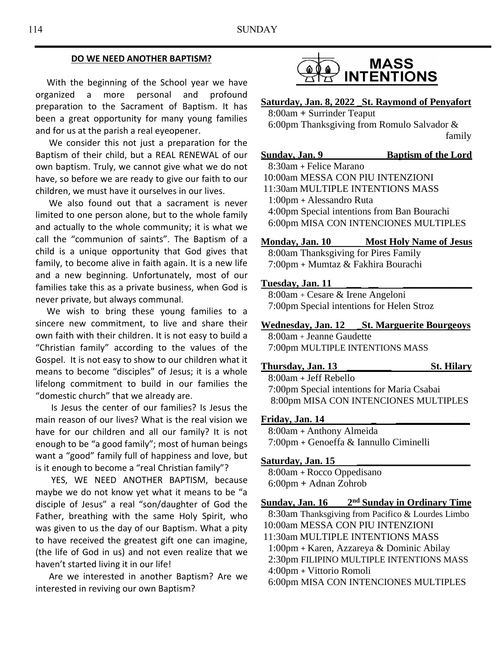#### **DO WE NEED ANOTHER BAPTISM?**

 With the beginning of the School year we have organized a more personal and profound preparation to the Sacrament of Baptism. It has been a great opportunity for many young families and for us at the parish a real eyeopener.

 We consider this not just a preparation for the Baptism of their child, but a REAL RENEWAL of our own baptism. Truly, we cannot give what we do not have, so before we are ready to give our faith to our children, we must have it ourselves in our lives.

 We also found out that a sacrament is never limited to one person alone, but to the whole family and actually to the whole community; it is what we call the "communion of saints". The Baptism of a child is a unique opportunity that God gives that family, to become alive in faith again. It is a new life and a new beginning. Unfortunately, most of our families take this as a private business, when God is never private, but always communal.

 We wish to bring these young families to a sincere new commitment, to live and share their own faith with their children. It is not easy to build a "Christian family" according to the values of the Gospel. It is not easy to show to our children what it means to become "disciples" of Jesus; it is a whole lifelong commitment to build in our families the "domestic church" that we already are.

 Is Jesus the center of our families? Is Jesus the main reason of our lives? What is the real vision we have for our children and all our family? It is not enough to be "a good family"; most of human beings want a "good" family full of happiness and love, but is it enough to become a "real Christian family"?

 YES, WE NEED ANOTHER BAPTISM, because maybe we do not know yet what it means to be "a disciple of Jesus" a real "son/daughter of God the Father, breathing with the same Holy Spirit, who was given to us the day of our Baptism. What a pity to have received the greatest gift one can imagine, (the life of God in us) and not even realize that we haven't started living it in our life!

 Are we interested in another Baptism? Are we interested in reviving our own Baptism?



### **Saturday, Jan. 8, 2022 \_St. Raymond of Penyafort**

8:00am **+** Surrinder Teaput 6:00pm Thanksgiving from Romulo Salvador & family

# **Sunday, Jan. 9 Baptism of the Lord**

8:30am **+** Felice Marano 10:00am MESSA CON PIU INTENZIONI 11:30am MULTIPLE INTENTIONS MASS 1:00pm **+** Alessandro Ruta 4:00pm Special intentions from Ban Bourachi 6:00pm MISA CON INTENCIONES MULTIPLES

#### **Monday, Jan. 10 Most Holy Name of Jesus**

8:00am Thanksgiving for Pires Family 7:00pm **+** Mumtaz & Fakhira Bourachi

#### **Tuesday, Jan. 11 \_\_\_ \_\_ \_\_\_\_\_\_\_\_\_\_\_\_\_\_**

8:00am + Cesare & Irene Angeloni 7:00pm Special intentions for Helen Stroz

## **Wednesday, Jan. 12 \_St. Marguerite Bourgeoys**

8:00am + Jeanne Gaudette 7:00pm MULTIPLE INTENTIONS MASS

#### **Thursday, Jan. 13 \_\_\_\_\_\_\_\_\_ St. Hilary**

 8:00am **+** Jeff Rebello 7:00pm Special intentions for Maria Csabai 8:00pm MISA CON INTENCIONES MULTIPLES

#### Friday, Jan. 14

8:00am **+** Anthony Almeida 7:00pm **+** Genoeffa & Iannullo Ciminelli

#### Saturday, Jan. 15

8:00am **+** Rocco Oppedisano 6:00pm **+** Adnan Zohrob

#### **Sunday, Jan. 16 2 nd Sunday in Ordinary Time**

8:30am Thanksgiving from Pacifico & Lourdes Limbo 10:00am MESSA CON PIU INTENZIONI

- 11:30am MULTIPLE INTENTIONS MASS
- 1:00pm **+** Karen, Azzareya & Dominic Abilay

2:30pm FILIPINO MULTIPLE INTENTIONS MASS

4:00pm **+** Vittorio Romoli

6:00pm MISA CON INTENCIONES MULTIPLES